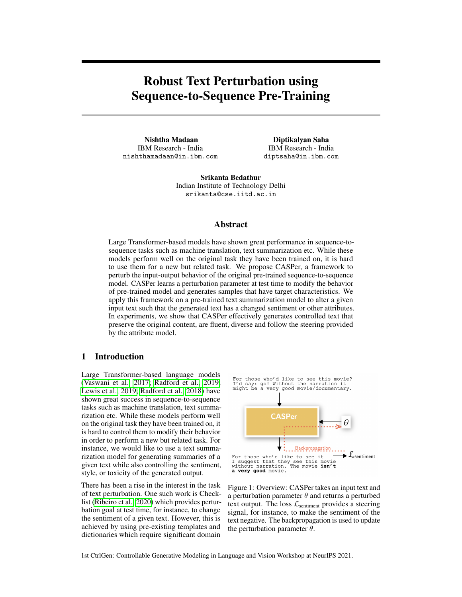# Robust Text Perturbation using Sequence-to-Sequence Pre-Training

Nishtha Madaan IBM Research - India nishthamadaan@in.ibm.com

Diptikalyan Saha IBM Research - India diptsaha@in.ibm.com

Srikanta Bedathur Indian Institute of Technology Delhi srikanta@cse.iitd.ac.in

#### Abstract

Large Transformer-based models have shown great performance in sequence-tosequence tasks such as machine translation, text summarization etc. While these models perform well on the original task they have been trained on, it is hard to use them for a new but related task. We propose CASPer, a framework to perturb the input-output behavior of the original pre-trained sequence-to-sequence model. CASPer learns a perturbation parameter at test time to modify the behavior of pre-trained model and generates samples that have target characteristics. We apply this framework on a pre-trained text summarization model to alter a given input text such that the generated text has a changed sentiment or other attributes. In experiments, we show that CASPer effectively generates controlled text that preserve the original content, are fluent, diverse and follow the steering provided by the attribute model.

# 1 Introduction

Large Transformer-based language models [\(Vaswani et al., 2017;](#page-8-0) [Radford et al., 2019;](#page-8-1) [Lewis et al., 2019;](#page-8-2) [Radford et al., 2018\)](#page-8-3) have shown great success in sequence-to-sequence tasks such as machine translation, text summarization etc. While these models perform well on the original task they have been trained on, it is hard to control them to modify their behavior in order to perform a new but related task. For instance, we would like to use a text summarization model for generating summaries of a given text while also controlling the sentiment, style, or toxicity of the generated output.

There has been a rise in the interest in the task of text perturbation. One such work is Checklist [\(Ribeiro et al., 2020\)](#page-8-4) which provides perturbation goal at test time, for instance, to change the sentiment of a given text. However, this is achieved by using pre-existing templates and dictionaries which require significant domain



<span id="page-0-0"></span>Figure 1: Overview: CASPer takes an input text and a perturbation parameter  $\theta$  and returns a perturbed text output. The loss  $\mathcal{L}_{\text{sentiment}}$  provides a steering signal, for instance, to make the sentiment of the text negative. The backpropagation is used to update the perturbation parameter  $\theta$ .

1st CtrlGen: Controllable Generative Modeling in Language and Vision Workshop at NeurIPS 2021.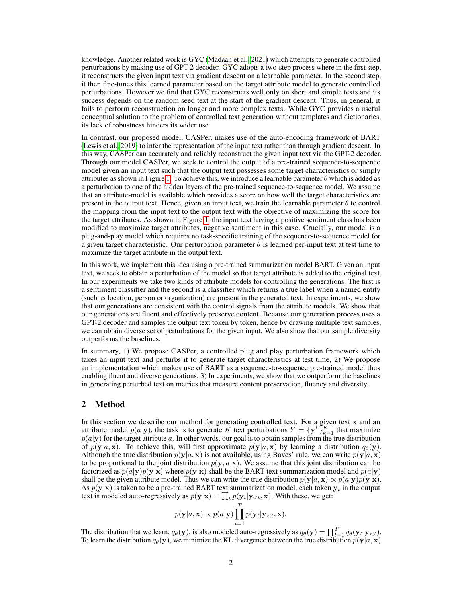knowledge. Another related work is GYC [\(Madaan et al., 2021\)](#page-8-5) which attempts to generate controlled perturbations by making use of GPT-2 decoder. GYC adopts a two-step process where in the first step, it reconstructs the given input text via gradient descent on a learnable parameter. In the second step, it then fine-tunes this learned parameter based on the target attribute model to generate controlled perturbations. However we find that GYC reconstructs well only on short and simple texts and its success depends on the random seed text at the start of the gradient descent. Thus, in general, it fails to perform reconstruction on longer and more complex texts. While GYC provides a useful conceptual solution to the problem of controlled text generation without templates and dictionaries, its lack of robustness hinders its wider use.

In contrast, our proposed model, CASPer, makes use of the auto-encoding framework of BART [\(Lewis et al., 2019\)](#page-8-2) to infer the representation of the input text rather than through gradient descent. In this way, CASPer can accurately and reliably reconstruct the given input text via the GPT-2 decoder. Through our model CASPer, we seek to control the output of a pre-trained sequence-to-sequence model given an input text such that the output text possesses some target characteristics or simply attributes as shown in Figure [1.](#page-0-0) To achieve this, we introduce a learnable parameter  $\theta$  which is added as a perturbation to one of the hidden layers of the pre-trained sequence-to-sequence model. We assume that an attribute-model is available which provides a score on how well the target characteristics are present in the output text. Hence, given an input text, we train the learnable parameter  $\theta$  to control the mapping from the input text to the output text with the objective of maximizing the score for the target attributes. As shown in Figure [1,](#page-0-0) the input text having a positive sentiment class has been modified to maximize target attributes, negative sentiment in this case. Crucially, our model is a plug-and-play model which requires no task-specific training of the sequence-to-sequence model for a given target characteristic. Our perturbation parameter  $\theta$  is learned per-input text at test time to maximize the target attribute in the output text.

In this work, we implement this idea using a pre-trained summarization model BART. Given an input text, we seek to obtain a perturbation of the model so that target attribute is added to the original text. In our experiments we take two kinds of attribute models for controlling the generations. The first is a sentiment classifier and the second is a classifier which returns a true label when a named entity (such as location, person or organization) are present in the generated text. In experiments, we show that our generations are consistent with the control signals from the attribute models. We show that our generations are fluent and effectively preserve content. Because our generation process uses a GPT-2 decoder and samples the output text token by token, hence by drawing multiple text samples, we can obtain diverse set of perturbations for the given input. We also show that our sample diversity outperforms the baselines.

In summary, 1) We propose CASPer, a controlled plug and play perturbation framework which takes an input text and perturbs it to generate target characteristics at test time, 2) We propose an implementation which makes use of BART as a sequence-to-sequence pre-trained model thus enabling fluent and diverse generations, 3) In experiments, we show that we outperform the baselines in generating perturbed text on metrics that measure content preservation, fluency and diversity.

#### 2 Method

In this section we describe our method for generating controlled text. For a given text x and an attribute model  $p(a|\mathbf{y})$ , the task is to generate K text perturbations  $Y = {\{\mathbf{y}^k\}}_{k=1}^K$  that maximize  $p(a|\mathbf{y})$  for the target attribute a. In other words, our goal is to obtain samples from the true distribution of  $p(\mathbf{y}|a, \mathbf{x})$ . To achieve this, will first approximate  $p(\mathbf{y}|a, \mathbf{x})$  by learning a distribution  $q_\theta(\mathbf{y})$ . Although the true distribution  $p(y|a, x)$  is not available, using Bayes' rule, we can write  $p(y|a, x)$ to be proportional to the joint distribution  $p(y, a|x)$ . We assume that this joint distribution can be factorized as  $p(a|\mathbf{y})p(\mathbf{y}|\mathbf{x})$  where  $p(\mathbf{y}|\mathbf{x})$  shall be the BART text summarization model and  $p(a|\mathbf{y})$ shall be the given attribute model. Thus we can write the true distribution  $p(\mathbf{y}|a, \mathbf{x}) \propto p(a|\mathbf{y})p(\mathbf{y}|\mathbf{x})$ . As  $p(y|x)$  is taken to be a pre-trained BART text summarization model, each token  $y_t$  in the output text is modeled auto-regressively as  $p(\mathbf{y}|\mathbf{x}) = \prod_t p(\mathbf{y}_t | \mathbf{y}_{. With these, we get:$ 

$$
p(\mathbf{y}|a, \mathbf{x}) \propto p(a|\mathbf{y}) \prod_{t=1}^{T} p(\mathbf{y}_t | \mathbf{y}_{< t}, \mathbf{x}).
$$

The distribution that we learn,  $q_{\theta}(\mathbf{y})$ , is also modeled auto-regressively as  $q_{\theta}(\mathbf{y}) = \prod_{t=1}^{T} q_{\theta}(\mathbf{y}_t | \mathbf{y}_{$ To learn the distribution  $q_{\theta}(\mathbf{y})$ , we minimize the KL divergence between the true distribution  $p(\mathbf{y}|a, \mathbf{x})$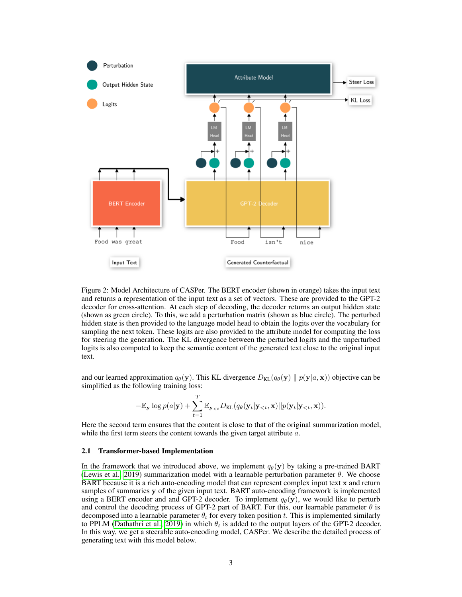

Figure 2: Model Architecture of CASPer. The BERT encoder (shown in orange) takes the input text and returns a representation of the input text as a set of vectors. These are provided to the GPT-2 decoder for cross-attention. At each step of decoding, the decoder returns an output hidden state (shown as green circle). To this, we add a perturbation matrix (shown as blue circle). The perturbed hidden state is then provided to the language model head to obtain the logits over the vocabulary for sampling the next token. These logits are also provided to the attribute model for computing the loss for steering the generation. The KL divergence between the perturbed logits and the unperturbed logits is also computed to keep the semantic content of the generated text close to the original input text.

and our learned approximation  $q_{\theta}(\mathbf{y})$ . This KL divergence  $D_{\text{KL}}(q_{\theta}(\mathbf{y}) || p(\mathbf{y}|a, \mathbf{x}))$  objective can be simplified as the following training loss:

$$
-\mathbb{E}_{\mathbf{y}}\log p(a|\mathbf{y})+\sum_{t=1}^T\mathbb{E}_{\mathbf{y}_{< t}}D_{\mathrm{KL}}(q_{\theta}(\mathbf{y}_t|\mathbf{y}_{< t},\mathbf{x})||p(\mathbf{y}_t|\mathbf{y}_{< t},\mathbf{x})).
$$

Here the second term ensures that the content is close to that of the original summarization model, while the first term steers the content towards the given target attribute a.

#### 2.1 Transformer-based Implementation

In the framework that we introduced above, we implement  $q_{\theta}(\mathbf{y})$  by taking a pre-trained BART [\(Lewis et al., 2019\)](#page-8-2) summarization model with a learnable perturbation parameter  $\theta$ . We choose BART because it is a rich auto-encoding model that can represent complex input text x and return samples of summaries y of the given input text. BART auto-encoding framework is implemented using a BERT encoder and and GPT-2 decoder. To implement  $q_{\theta}(\mathbf{v})$ , we would like to perturb and control the decoding process of GPT-2 part of BART. For this, our learnable parameter  $\theta$  is decomposed into a learnable parameter  $\theta_t$  for every token position t. This is implemented similarly to PPLM [\(Dathathri et al., 2019\)](#page-7-0) in which  $\theta_t$  is added to the output layers of the GPT-2 decoder. In this way, we get a steerable auto-encoding model, CASPer. We describe the detailed process of generating text with this model below.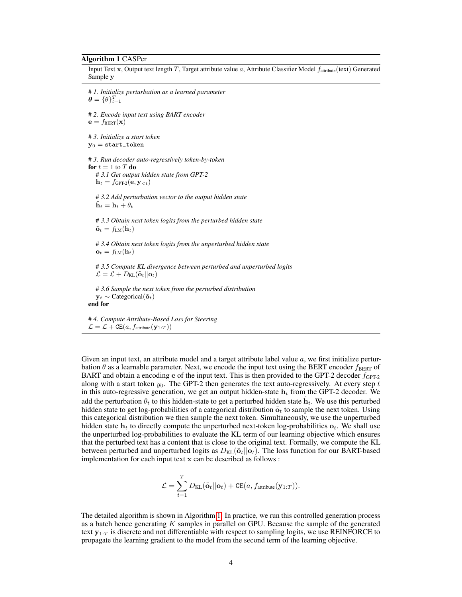#### Algorithm 1 CASPer

Input Text x, Output text length  $T$ , Target attribute value  $a$ , Attribute Classifier Model  $f_{\text{attribute}}(\text{text}, \text{et})$  Generated Sample y

# *1. Initialize perturbation as a learned parameter*  $\boldsymbol{\theta} = \{\theta\}_{t=1}^T$ # *2. Encode input text using BART encoder*  $\mathbf{e} = f_{BERT}(\mathbf{x})$ # *3. Initialize a start token*  $y_0 =$ start\_token # *3. Run decoder auto-regressively token-by-token* for  $t = 1$  to  $T$  do # *3.1 Get output hidden state from GPT-2*  $\mathbf{h}_t = f_{\text{GPT-2}}(\mathbf{e}, \mathbf{y}_{< t})$ # *3.2 Add perturbation vector to the output hidden state*  $\mathbf{h}_t = \mathbf{h}_t + \theta_t$ # *3.3 Obtain next token logits from the perturbed hidden state*  $\tilde{\mathbf{o}}_t = f_{LM}(\mathbf{h}_t)$ 

# *3.4 Obtain next token logits from the unperturbed hidden state*  $\mathbf{o}_t = f_{LM}(\mathbf{h}_t)$ 

# *3.5 Compute KL divergence between perturbed and unperturbed logits*  $\mathcal{L} = \mathcal{L} + D_{\text{KL}}(\tilde{\mathbf{o}}_t || \mathbf{o}_t)$ 

```
# 3.6 Sample the next token from the perturbed distribution
   \mathbf{v}_t \sim Categorical(\tilde{\mathbf{o}}_t)
end for
```
<span id="page-3-0"></span># *4. Compute Attribute-Based Loss for Steering*  $\mathcal{L} = \mathcal{L} + \texttt{CE}(a, f_{\text{attribute}}(\mathbf{y}_{1:T}))$ 

Given an input text, an attribute model and a target attribute label value  $a$ , we first initialize perturbation  $\theta$  as a learnable parameter. Next, we encode the input text using the BERT encoder  $f_{\text{BERT}}$  of BART and obtain a encoding e of the input text. This is then provided to the GPT-2 decoder  $f_{\text{GPT-2}}$ along with a start token  $y_0$ . The GPT-2 then generates the text auto-regressively. At every step t in this auto-regressive generation, we get an output hidden-state  $h_t$  from the GPT-2 decoder. We add the perturbation  $\theta_t$  to this hidden-state to get a perturbed hidden state  $\tilde{\mathbf{h}}_t$ . We use this perturbed hidden state to get log-probabilities of a categorical distribution  $\tilde{\mathbf{o}}_t$  to sample the next token. Using this categorical distribution we then sample the next token. Simultaneously, we use the unperturbed hidden state  $h_t$  to directly compute the unperturbed next-token log-probabilities  $o_t$ . We shall use the unperturbed log-probabilities to evaluate the KL term of our learning objective which ensures that the perturbed text has a content that is close to the original text. Formally, we compute the KL between perturbed and unperturbed logits as  $D_{KL}(\tilde{\sigma}_t||\sigma_t)$ . The loss function for our BART-based implementation for each input text x can be described as follows :

$$
\mathcal{L} = \sum_{t=1}^{T} D_{\text{KL}}(\tilde{\mathbf{o}}_t || \mathbf{o}_t) + \text{CE}(a, f_{\text{attribute}}(\mathbf{y}_{1:T})).
$$

The detailed algorithm is shown in Algorithm [1.](#page-3-0) In practice, we run this controlled generation process as a batch hence generating K samples in parallel on GPU. Because the sample of the generated text  $y_{1:T}$  is discrete and not differentiable with respect to sampling logits, we use REINFORCE to propagate the learning gradient to the model from the second term of the learning objective.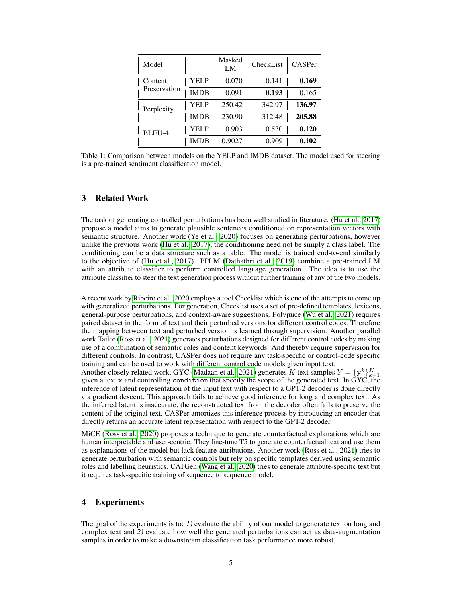<span id="page-4-0"></span>

| Model                   |             | Masked<br>LM | CheckList | CASPer |
|-------------------------|-------------|--------------|-----------|--------|
| Content<br>Preservation | YELP        | 0.070        | 0.141     | 0.169  |
|                         | <b>IMDB</b> | 0.091        | 0.193     | 0.165  |
| Perplexity              | YELP        | 250.42       | 342.97    | 136.97 |
|                         | <b>IMDB</b> | 230.90       | 312.48    | 205.88 |
| BLEU-4                  | YEL P       | 0.903        | 0.530     | 0.120  |
|                         | IMDB        | 0.9027       | (0.909)   | 0.102  |

Table 1: Comparison between models on the YELP and IMDB dataset. The model used for steering is a pre-trained sentiment classification model.

# 3 Related Work

The task of generating controlled perturbations has been well studied in literature. [\(Hu et al., 2017\)](#page-8-6) propose a model aims to generate plausible sentences conditioned on representation vectors with semantic structure. Another work [\(Ye et al., 2020\)](#page-8-7) focuses on generating perturbations, however unlike the previous work [\(Hu et al., 2017\)](#page-8-6), the conditioning need not be simply a class label. The conditioning can be a data structure such as a table. The model is trained end-to-end similarly to the objective of [\(Hu et al., 2017\)](#page-8-6). PPLM [\(Dathathri et al., 2019\)](#page-7-0) combine a pre-trained LM with an attribute classifier to perform controlled language generation. The idea is to use the attribute classifier to steer the text generation process without further training of any of the two models.

A recent work by [Ribeiro et al., 2020](#page-8-4) employs a tool Checklist which is one of the attempts to come up with generalized perturbations. For generation, Checklist uses a set of pre-defined templates, lexicons, general-purpose perturbations, and context-aware suggestions. Polyjuice [\(Wu et al., 2021\)](#page-8-8) requires paired dataset in the form of text and their perturbed versions for different control codes. Therefore the mapping between text and perturbed version is learned through supervision. Another parallel work Tailor [\(Ross et al., 2021\)](#page-8-9) generates perturbations designed for different control codes by making use of a combination of semantic roles and content keywords. And thereby require supervision for different controls. In contrast, CASPer does not require any task-specific or control-code specific training and can be used to work with different control code models given input text. Another closely related work, GYC [\(Madaan et al., 2021\)](#page-8-5) generates K text samples  $Y = {\{y^k\}}_{k=1}^K$ given a text x and controlling condition that specify the scope of the generated text. In GYC, the inference of latent representation of the input text with respect to a GPT-2 decoder is done directly via gradient descent. This approach fails to achieve good inference for long and complex text. As the inferred latent is inaccurate, the reconstructed text from the decoder often fails to preserve the

MiCE [\(Ross et al., 2020\)](#page-8-10) proposes a technique to generate counterfactual explanations which are human interpretable and user-centric. They fine-tune T5 to generate counterfactual text and use them as explanations of the model but lack feature-attributions. Another work [\(Ross et al., 2021\)](#page-8-9) tries to generate perturbation with semantic controls but rely on specific templates derived using semantic roles and labelling heuristics. CATGen [\(Wang et al., 2020\)](#page-8-11) tries to generate attribute-specific text but it requires task-specific training of sequence to sequence model.

content of the original text. CASPer amortizes this inference process by introducing an encoder that

directly returns an accurate latent representation with respect to the GPT-2 decoder.

## 4 Experiments

The goal of the experiments is to: *1)* evaluate the ability of our model to generate text on long and complex text and *2)* evaluate how well the generated perturbations can act as data-augmentation samples in order to make a downstream classification task performance more robust.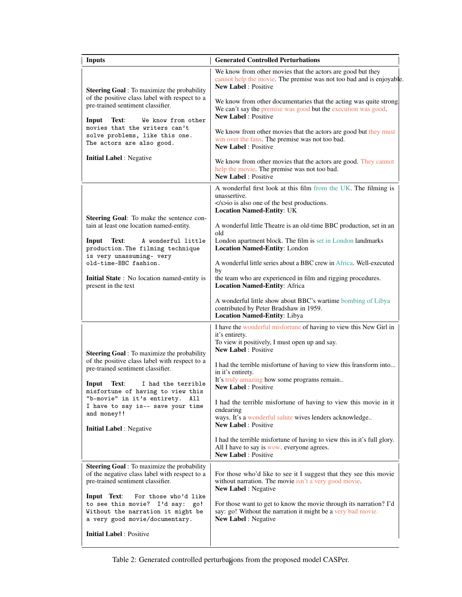| <b>Inputs</b>                                                                                                                                 | <b>Generated Controlled Perturbations</b>                                                                                                                            |  |  |
|-----------------------------------------------------------------------------------------------------------------------------------------------|----------------------------------------------------------------------------------------------------------------------------------------------------------------------|--|--|
| <b>Steering Goal</b> : To maximize the probability                                                                                            | We know from other movies that the actors are good but they<br>cannot help the movie. The premise was not too bad and is enjoyable.<br><b>New Label: Positive</b>    |  |  |
| of the positive class label with respect to a<br>pre-trained sentiment classifier.<br>Text:<br>Input<br>We know from other                    | We know from other documentaries that the acting was quite strong.<br>We can't say the premise was good but the execution was good.<br><b>New Label: Positive</b>    |  |  |
| movies that the writers can't<br>solve problems, like this one.<br>The actors are also good.                                                  | We know from other movies that the actors are good but they must<br>win over the fans. The premise was not too bad.<br><b>New Label: Positive</b>                    |  |  |
| <b>Initial Label:</b> Negative                                                                                                                | We know from other movies that the actors are good. They cannot<br>help the movie. The premise was not too bad.<br>New Label : Positive                              |  |  |
|                                                                                                                                               | A wonderful first look at this film from the UK. The filming is<br>unassertive.<br>$\langle$ /s>io is also one of the best productions.                              |  |  |
| Steering Goal: To make the sentence con-                                                                                                      | <b>Location Named-Entity: UK</b>                                                                                                                                     |  |  |
| tain at least one location named-entity.                                                                                                      | A wonderful little Theatre is an old-time BBC production, set in an<br>old                                                                                           |  |  |
| Input<br>Text:<br>A wonderful little<br>production. The filming technique<br>is very unassuming- very                                         | London apartment block. The film is set in London landmarks<br>Location Named-Entity: London                                                                         |  |  |
| old-time-BBC fashion.                                                                                                                         | A wonderful little series about a BBC crew in Africa. Well-executed<br>by                                                                                            |  |  |
| Initial State: No location named-entity is<br>present in the text                                                                             | the team who are experienced in film and rigging procedures.<br>Location Named-Entity: Africa                                                                        |  |  |
|                                                                                                                                               | A wonderful little show about BBC's wartime bombing of Libya<br>contributed by Peter Bradshaw in 1959.<br>Location Named-Entity: Libya                               |  |  |
|                                                                                                                                               | I have the wonderful misfortune of having to view this New Girl in<br>it's entirety.<br>To view it positively, I must open up and say.<br><b>New Label: Positive</b> |  |  |
| <b>Steering Goal</b> : To maximize the probability<br>of the positive class label with respect to a<br>pre-trained sentiment classifier.      | I had the terrible misfortune of having to view this transform into<br>in it's entirety.                                                                             |  |  |
| Input<br>Text:<br>I had the terrible<br>misfortune of having to view this                                                                     | It's truly amazing how some programs remain<br><b>New Label: Positive</b>                                                                                            |  |  |
| "b-movie" in it's entirety.<br>All<br>I have to say is-- save your time<br>and money!!                                                        | I had the terrible misfortune of having to view this movie in it<br>endearing<br>ways. It's a wonderful salute wives lenders acknowledge                             |  |  |
| <b>Initial Label:</b> Negative                                                                                                                | <b>New Label: Positive</b>                                                                                                                                           |  |  |
|                                                                                                                                               | I had the terrible misfortune of having to view this in it's full glory.<br>All I have to say is wow. everyone agrees.<br>New Label: Positive                        |  |  |
| <b>Steering Goal</b> : To maximize the probability<br>of the negative class label with respect to a<br>pre-trained sentiment classifier.      | For those who'd like to see it I suggest that they see this movie<br>without narration. The movie isn't a very good movie.<br><b>New Label:</b> Negative             |  |  |
| Input Text:<br>For those who'd like<br>to see this movie? I'd say: go!<br>Without the narration it might be<br>a very good movie/documentary. | For those want to get to know the movie through its narration? I'd<br>say: go! Without the narration it might be a very bad movie.<br><b>New Label:</b> Negative     |  |  |
| <b>Initial Label: Positive</b>                                                                                                                |                                                                                                                                                                      |  |  |

<span id="page-5-0"></span>Table 2: Generated controlled perturbations from the proposed model CASPer.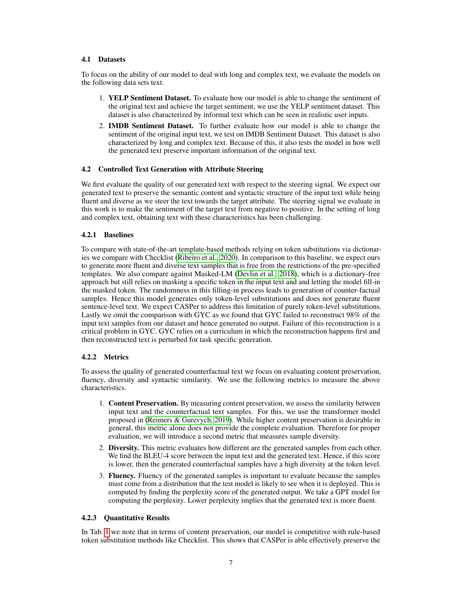# 4.1 Datasets

To focus on the ability of our model to deal with long and complex text, we evaluate the models on the following data sets text.

- 1. YELP Sentiment Dataset. To evaluate how our model is able to change the sentiment of the original text and achieve the target sentiment, we use the YELP sentiment dataset. This dataset is also characterized by informal text which can be seen in realistic user inputs.
- 2. IMDB Sentiment Dataset. To further evaluate how our model is able to change the sentiment of the original input text, we test on IMDB Sentiment Dataset. This dataset is also characterized by long and complex text. Because of this, it also tests the model in how well the generated text preserve important information of the original text.

## 4.2 Controlled Text Generation with Attribute Steering

We first evaluate the quality of our generated text with respect to the steering signal. We expect our generated text to preserve the semantic content and syntactic structure of the input text while being fluent and diverse as we steer the text towards the target attribute. The steering signal we evaluate in this work is to make the sentiment of the target text from negative to positive. In the setting of long and complex text, obtaining text with these characteristics has been challenging.

## 4.2.1 Baselines

To compare with state-of-the-art template-based methods relying on token substitutions via dictionaries we compare with Checklist [\(Ribeiro et al., 2020\)](#page-8-4). In comparison to this baseline, we expect ours to generate more fluent and diverse text samples that is free from the restrictions of the pre-specified templates. We also compare against Masked-LM [\(Devlin et al., 2018\)](#page-7-1), which is a dictionary-free approach but still relies on masking a specific token in the input text and and letting the model fill-in the masked token. The randomness in this filling-in process leads to generation of counter-factual samples. Hence this model generates only token-level substitutions and does not generate fluent sentence-level text. We expect CASPer to address this limitation of purely token-level substitutions. Lastly we omit the comparison with GYC as we found that GYC failed to reconstruct 98% of the input text samples from our dataset and hence generated no output. Failure of this reconstruction is a critical problem in GYC. GYC relies on a curriculum in which the reconstruction happens first and then reconstructed text is perturbed for task specific generation.

# 4.2.2 Metrics

To assess the quality of generated counterfactual text we focus on evaluating content preservation, fluency, diversity and syntactic similarity. We use the following metrics to measure the above characteristics.

- 1. Content Preservation. By measuring content preservation, we assess the similarity between input text and the counterfactual text samples. For this, we use the transformer model proposed in [\(Reimers & Gurevych, 2019\)](#page-8-12). While higher content preservation is desirable in general, this metric alone does not provide the complete evaluation. Therefore for proper evaluation, we will introduce a second metric that measures sample diversity.
- 2. Diversity. This metric evaluates how different are the generated samples from each other. We find the BLEU-4 score between the input text and the generated text. Hence, if this score is lower, then the generated counterfactual samples have a high diversity at the token level.
- 3. Fluency. Fluency of the generated samples is important to evaluate because the samples must come from a distribution that the test model is likely to see when it is deployed. This is computed by finding the perplexity score of the generated output. We take a GPT model for computing the perplexity. Lower perplexity implies that the generated text is more fluent.

#### 4.2.3 Quantitative Results

In Tab. [1](#page-4-0) we note that in terms of content preservation, our model is competitive with rule-based token substitution methods like Checklist. This shows that CASPer is able effectively preserve the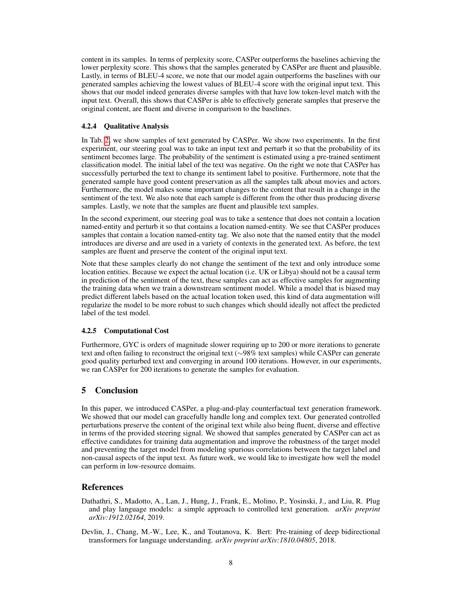content in its samples. In terms of perplexity score, CASPer outperforms the baselines achieving the lower perplexity score. This shows that the samples generated by CASPer are fluent and plausible. Lastly, in terms of BLEU-4 score, we note that our model again outperforms the baselines with our generated samples achieving the lowest values of BLEU-4 score with the original input text. This shows that our model indeed generates diverse samples with that have low token-level match with the input text. Overall, this shows that CASPer is able to effectively generate samples that preserve the original content, are fluent and diverse in comparison to the baselines.

#### 4.2.4 Qualitative Analysis

In Tab. [2,](#page-5-0) we show samples of text generated by CASPer. We show two experiments. In the first experiment, our steering goal was to take an input text and perturb it so that the probability of its sentiment becomes large. The probability of the sentiment is estimated using a pre-trained sentiment classification model. The initial label of the text was negative. On the right we note that CASPer has successfully perturbed the text to change its sentiment label to positive. Furthermore, note that the generated sample have good content preservation as all the samples talk about movies and actors. Furthermore, the model makes some important changes to the content that result in a change in the sentiment of the text. We also note that each sample is different from the other thus producing diverse samples. Lastly, we note that the samples are fluent and plausible text samples.

In the second experiment, our steering goal was to take a sentence that does not contain a location named-entity and perturb it so that contains a location named-entity. We see that CASPer produces samples that contain a location named-entity tag. We also note that the named entity that the model introduces are diverse and are used in a variety of contexts in the generated text. As before, the text samples are fluent and preserve the content of the original input text.

Note that these samples clearly do not change the sentiment of the text and only introduce some location entities. Because we expect the actual location (i.e. UK or Libya) should not be a causal term in prediction of the sentiment of the text, these samples can act as effective samples for augmenting the training data when we train a downstream sentiment model. While a model that is biased may predict different labels based on the actual location token used, this kind of data augmentation will regularize the model to be more robust to such changes which should ideally not affect the predicted label of the test model.

#### 4.2.5 Computational Cost

Furthermore, GYC is orders of magnitude slower requiring up to 200 or more iterations to generate text and often failing to reconstruct the original text (∼98% text samples) while CASPer can generate good quality perturbed text and converging in around 100 iterations. However, in our experiments, we ran CASPer for 200 iterations to generate the samples for evaluation.

# 5 Conclusion

In this paper, we introduced CASPer, a plug-and-play counterfactual text generation framework. We showed that our model can gracefully handle long and complex text. Our generated controlled perturbations preserve the content of the original text while also being fluent, diverse and effective in terms of the provided steering signal. We showed that samples generated by CASPer can act as effective candidates for training data augmentation and improve the robustness of the target model and preventing the target model from modeling spurious correlations between the target label and non-causal aspects of the input text. As future work, we would like to investigate how well the model can perform in low-resource domains.

# References

- <span id="page-7-0"></span>Dathathri, S., Madotto, A., Lan, J., Hung, J., Frank, E., Molino, P., Yosinski, J., and Liu, R. Plug and play language models: a simple approach to controlled text generation. *arXiv preprint arXiv:1912.02164*, 2019.
- <span id="page-7-1"></span>Devlin, J., Chang, M.-W., Lee, K., and Toutanova, K. Bert: Pre-training of deep bidirectional transformers for language understanding. *arXiv preprint arXiv:1810.04805*, 2018.